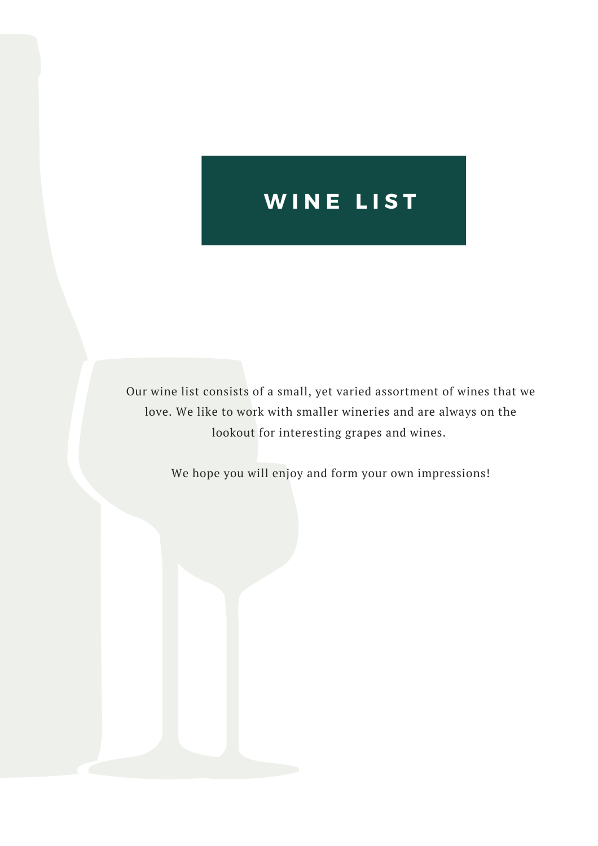# **W I N E L I S T**

Our wine list consists of a small, yet varied assortment of wines that we love. We like to work with smaller wineries and are always on the lookout for interesting grapes and wines.

We hope you will enjoy and form your own impressions!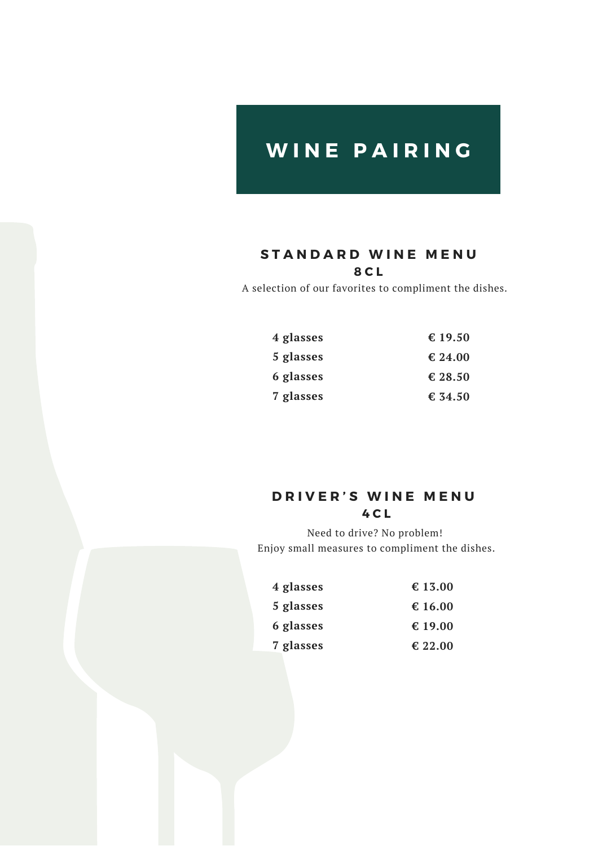## **W I N E P A I R I N G**

#### **S T A N D A R D W I N E M E N U 8 C L**

A selection of our favorites to compliment the dishes.

| 4 glasses | € 19.50 |
|-----------|---------|
| 5 glasses | € 24.00 |
| 6 glasses | € 28.50 |
| 7 glasses | € 34.50 |

#### **D R I V E R ' S W I N E M E N U 4 C L**

Need to drive? No problem! Enjoy small measures to compliment the dishes.

| 4 glasses | € 13.00 |
|-----------|---------|
| 5 glasses | € 16.00 |
| 6 glasses | € 19.00 |
| 7 glasses | € 22.00 |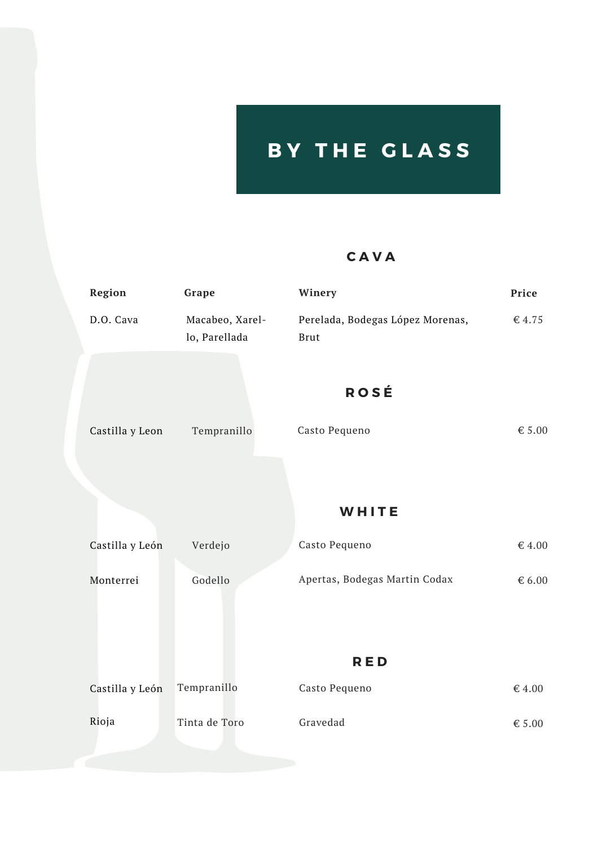# **B Y T H E G L A S S**

#### **C A V A**

| <b>Region</b>   | Grape                            | Winery                                          | Price           |
|-----------------|----------------------------------|-------------------------------------------------|-----------------|
| D.O. Cava       | Macabeo, Xarel-<br>lo, Parellada | Perelada, Bodegas López Morenas,<br><b>Brut</b> | € 4.75          |
|                 |                                  | <b>ROSÉ</b>                                     |                 |
| Castilla y Leon | Tempranillo                      | Casto Pequeno                                   | € 5.00          |
|                 |                                  |                                                 |                 |
|                 |                                  | WHITE                                           |                 |
| Castilla y León | Verdejo                          | Casto Pequeno                                   | € 4.00          |
| Monterrei       | Godello                          | Apertas, Bodegas Martin Codax                   | $\epsilon$ 6.00 |
|                 |                                  |                                                 |                 |
|                 |                                  | <b>RED</b>                                      |                 |
| Castilla y León | Tempranillo                      | Casto Pequeno                                   | € 4.00          |
| Rioja           | Tinta de Toro                    | Gravedad                                        | € $5.00$        |
|                 |                                  |                                                 |                 |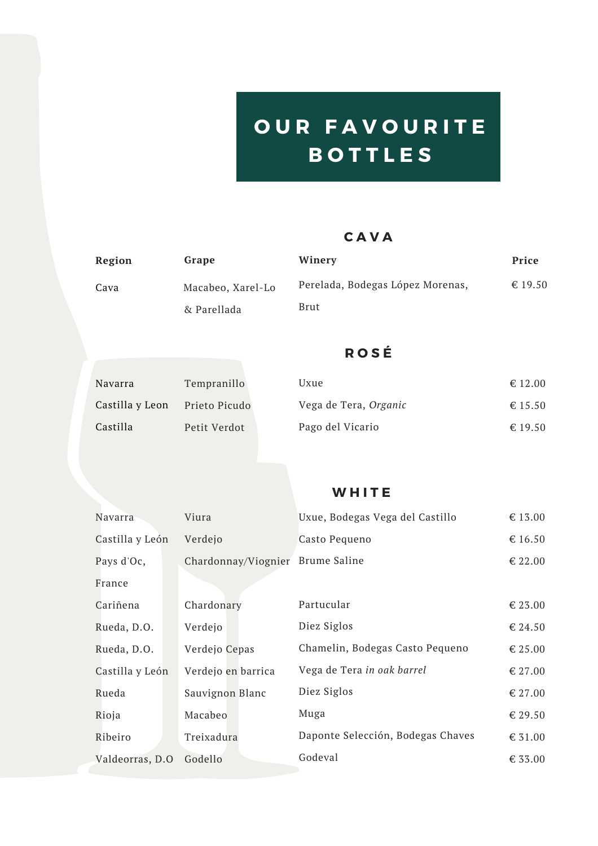# **O U R F A V O U R I T E B O T T L E S**

### **C A V A**

| Region | Grape             | Winery                           | Price   |
|--------|-------------------|----------------------------------|---------|
| Cava   | Macabeo, Xarel-Lo | Perelada, Bodegas López Morenas, | € 19.50 |
|        | & Parellada       | Brut                             |         |

### **R O S É**

| Navarra         | Tempranillo   | Uxue                  | $\epsilon$ 12.00 |
|-----------------|---------------|-----------------------|------------------|
| Castilla y Leon | Prieto Picudo | Vega de Tera, Organic | € 15.50          |
| Castilla        | Petit Verdot  | Pago del Vicario      | € 19.50          |

#### **W H I T E**

| Navarra          | Viura               | Uxue, Bodegas Vega del Castillo   | € 13.00 |
|------------------|---------------------|-----------------------------------|---------|
| Castilla y León  | Verdejo             | Casto Pequeno                     | € 16.50 |
| Pays d'Oc,       | Chardonnay/Viognier | <b>Brume Saline</b>               | € 22.00 |
| France           |                     |                                   |         |
| Cariñena         | Chardonary          | Partucular                        | € 23.00 |
| Rueda, D.O.      | Verdejo             | Diez Siglos                       | € 24.50 |
| Rueda, D.O.      | Verdejo Cepas       | Chamelin, Bodegas Casto Pequeno   | € 25.00 |
| Castilla y León  | Verdejo en barrica  | Vega de Tera in oak barrel        | € 27.00 |
| Rueda            | Sauvignon Blanc     | Diez Siglos                       | € 27.00 |
| Rioja            | Macabeo             | Muga                              | € 29.50 |
| Ribeiro          | Treixadura          | Daponte Selección, Bodegas Chaves | € 31.00 |
| Valdeorras, D.O. | Godello             | Godeval                           | € 33.00 |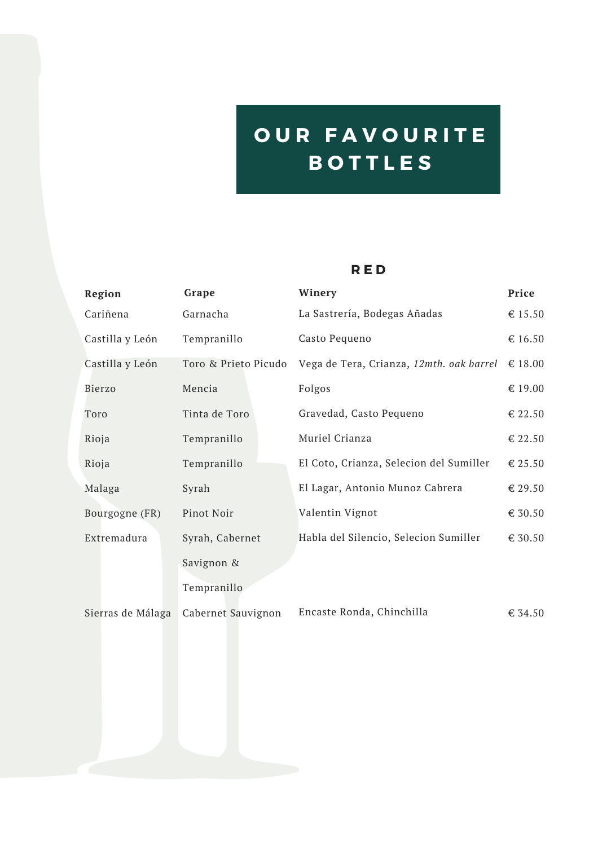# **O U R F A V O U R I T E B O T T L E S**

#### **R E D**

| Region            | Grape                | Winery                                   | Price   |
|-------------------|----------------------|------------------------------------------|---------|
| Cariñena          | Garnacha             | La Sastrería, Bodegas Añadas             | € 15.50 |
| Castilla y León   | Tempranillo          | Casto Pequeno                            | € 16.50 |
| Castilla y León   | Toro & Prieto Picudo | Vega de Tera, Crianza, 12mth. oak barrel | € 18.00 |
| <b>Bierzo</b>     | Mencia               | Folgos                                   | € 19.00 |
| Toro              | Tinta de Toro        | Gravedad, Casto Pequeno                  | € 22.50 |
| Rioja             | Tempranillo          | Muriel Crianza                           | € 22.50 |
| Rioja             | Tempranillo          | El Coto, Crianza, Selecion del Sumiller  | € 25.50 |
| Malaga            | Syrah                | El Lagar, Antonio Munoz Cabrera          | € 29.50 |
| Bourgogne (FR)    | Pinot Noir           | Valentin Vignot                          | € 30.50 |
| Extremadura       | Syrah, Cabernet      | Habla del Silencio, Selecion Sumiller    | € 30.50 |
|                   | Savignon &           |                                          |         |
|                   | Tempranillo          |                                          |         |
| Sierras de Málaga | Cabernet Sauvignon   | Encaste Ronda, Chinchilla                | € 34.50 |